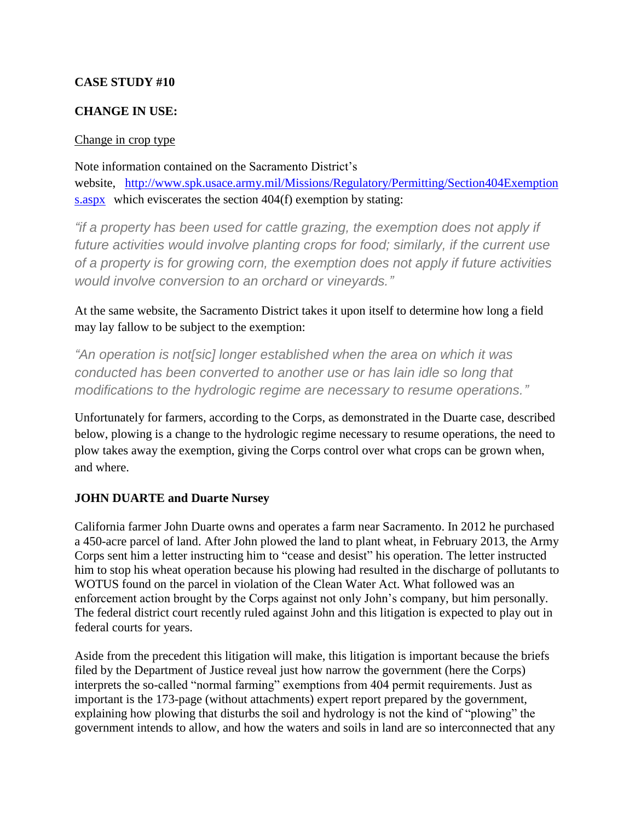## **CASE STUDY #10**

## **CHANGE IN USE:**

## Change in crop type

Note information contained on the Sacramento District's website, [http://www.spk.usace.army.mil/Missions/Regulatory/Permitting/Section404Exemption](http://www.spk.usace.army.mil/Missions/Regulatory/Permitting/Section404Exemptions.aspx) [s.aspx](http://www.spk.usace.army.mil/Missions/Regulatory/Permitting/Section404Exemptions.aspx) which eviscerates the section 404(f) exemption by stating:

*"if a property has been used for cattle grazing, the exemption does not apply if future activities would involve planting crops for food; similarly, if the current use of a property is for growing corn, the exemption does not apply if future activities would involve conversion to an orchard or vineyards."*

At the same website, the Sacramento District takes it upon itself to determine how long a field may lay fallow to be subject to the exemption:

*"An operation is not[sic] longer established when the area on which it was conducted has been converted to another use or has lain idle so long that modifications to the hydrologic regime are necessary to resume operations."*

Unfortunately for farmers, according to the Corps, as demonstrated in the Duarte case, described below, plowing is a change to the hydrologic regime necessary to resume operations, the need to plow takes away the exemption, giving the Corps control over what crops can be grown when, and where.

## **JOHN DUARTE and Duarte Nursey**

California farmer John Duarte owns and operates a farm near Sacramento. In 2012 he purchased a 450-acre parcel of land. After John plowed the land to plant wheat, in February 2013, the Army Corps sent him a letter instructing him to "cease and desist" his operation. The letter instructed him to stop his wheat operation because his plowing had resulted in the discharge of pollutants to WOTUS found on the parcel in violation of the Clean Water Act. What followed was an enforcement action brought by the Corps against not only John's company, but him personally. The federal district court recently ruled against John and this litigation is expected to play out in federal courts for years.

Aside from the precedent this litigation will make, this litigation is important because the briefs filed by the Department of Justice reveal just how narrow the government (here the Corps) interprets the so-called "normal farming" exemptions from 404 permit requirements. Just as important is the 173-page (without attachments) expert report prepared by the government, explaining how plowing that disturbs the soil and hydrology is not the kind of "plowing" the government intends to allow, and how the waters and soils in land are so interconnected that any